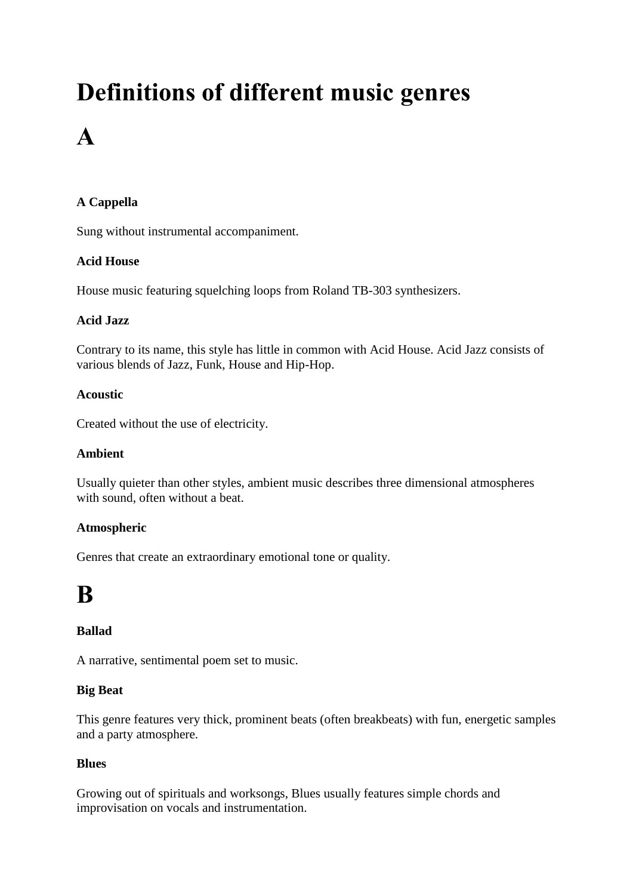# **Definitions of different music genres A**

### **A Cappella**

Sung without instrumental accompaniment.

### **Acid House**

House music featuring squelching loops from Roland TB-303 synthesizers.

### **Acid Jazz**

Contrary to its name, this style has little in common with Acid House. Acid Jazz consists of various blends of Jazz, Funk, House and Hip-Hop.

### **Acoustic**

Created without the use of electricity.

### **Ambient**

Usually quieter than other styles, ambient music describes three dimensional atmospheres with sound, often without a beat.

### **Atmospheric**

Genres that create an extraordinary emotional tone or quality.

### **B**

### **Ballad**

A narrative, sentimental poem set to music.

### **Big Beat**

This genre features very thick, prominent beats (often breakbeats) with fun, energetic samples and a party atmosphere.

### **Blues**

Growing out of spirituals and worksongs, Blues usually features simple chords and improvisation on vocals and instrumentation.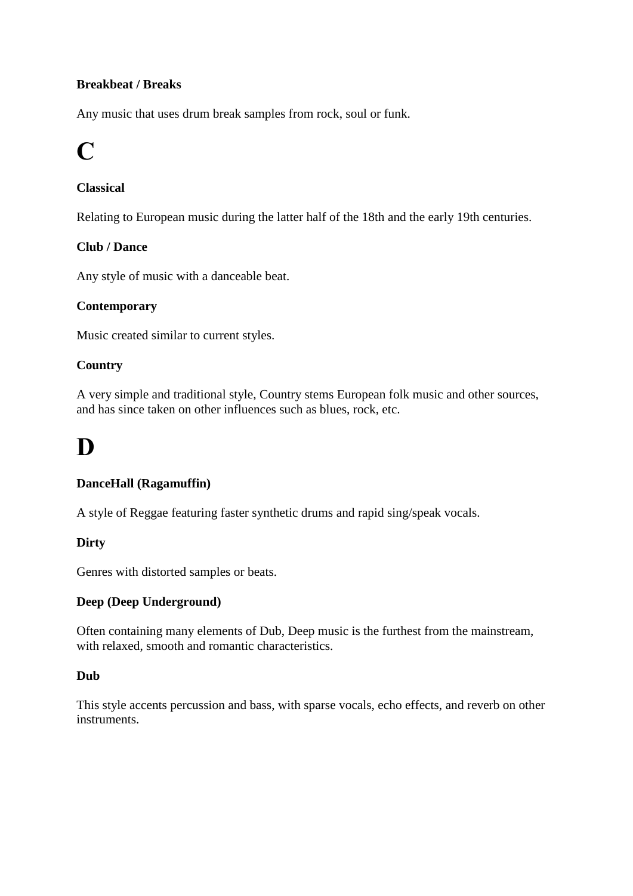### **Breakbeat / Breaks**

Any music that uses drum break samples from rock, soul or funk.

## **C**

### **Classical**

Relating to European music during the latter half of the 18th and the early 19th centuries.

### **Club / Dance**

Any style of music with a danceable beat.

### **Contemporary**

Music created similar to current styles.

### **Country**

A very simple and traditional style, Country stems European folk music and other sources, and has since taken on other influences such as blues, rock, etc.

# **D**

### **DanceHall (Ragamuffin)**

A style of Reggae featuring faster synthetic drums and rapid sing/speak vocals.

### **Dirty**

Genres with distorted samples or beats.

#### **Deep (Deep Underground)**

Often containing many elements of Dub, Deep music is the furthest from the mainstream, with relaxed, smooth and romantic characteristics.

#### **Dub**

This style accents percussion and bass, with sparse vocals, echo effects, and reverb on other instruments.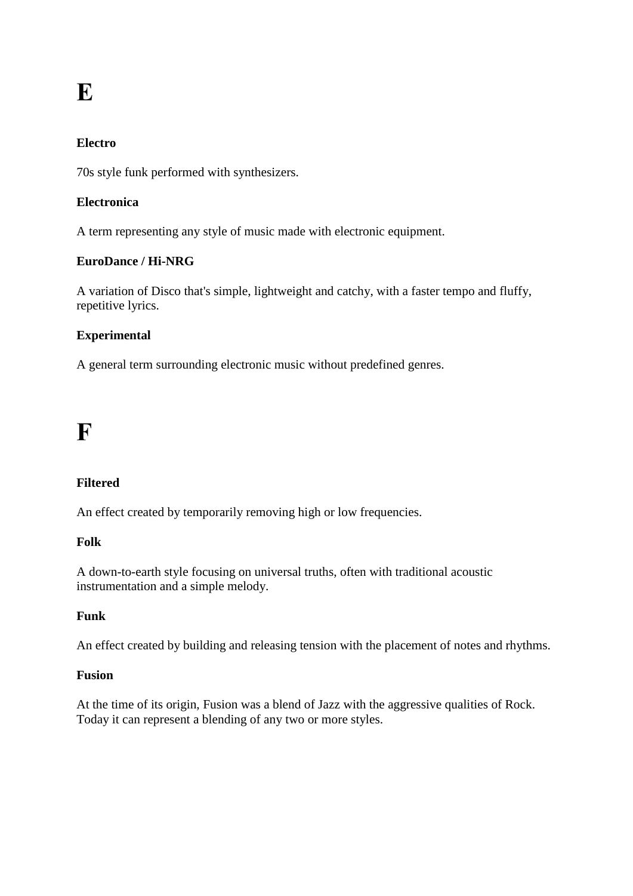# **E**

### **Electro**

70s style funk performed with synthesizers.

### **Electronica**

A term representing any style of music made with electronic equipment.

### **EuroDance / Hi-NRG**

A variation of Disco that's simple, lightweight and catchy, with a faster tempo and fluffy, repetitive lyrics.

### **Experimental**

A general term surrounding electronic music without predefined genres.

### **F**

### **Filtered**

An effect created by temporarily removing high or low frequencies.

#### **Folk**

A down-to-earth style focusing on universal truths, often with traditional acoustic instrumentation and a simple melody.

#### **Funk**

An effect created by building and releasing tension with the placement of notes and rhythms.

#### **Fusion**

At the time of its origin, Fusion was a blend of Jazz with the aggressive qualities of Rock. Today it can represent a blending of any two or more styles.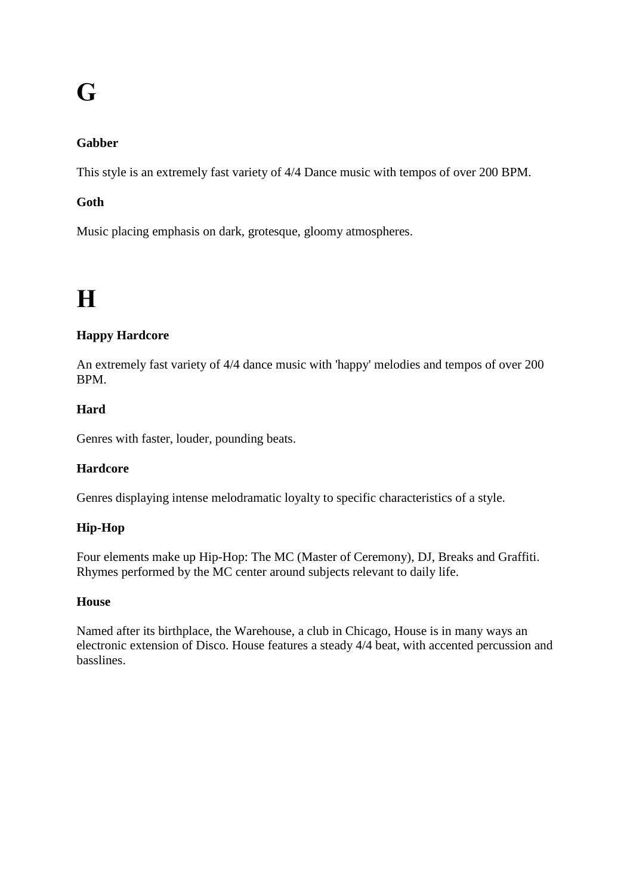# **G**

### **Gabber**

This style is an extremely fast variety of 4/4 Dance music with tempos of over 200 BPM.

### **Goth**

Music placing emphasis on dark, grotesque, gloomy atmospheres.

# **H**

### **Happy Hardcore**

An extremely fast variety of 4/4 dance music with 'happy' melodies and tempos of over 200 BPM.

### **Hard**

Genres with faster, louder, pounding beats.

### **Hardcore**

Genres displaying intense melodramatic loyalty to specific characteristics of a style.

### **Hip-Hop**

Four elements make up Hip-Hop: The MC (Master of Ceremony), DJ, Breaks and Graffiti. Rhymes performed by the MC center around subjects relevant to daily life.

### **House**

Named after its birthplace, the Warehouse, a club in Chicago, House is in many ways an electronic extension of Disco. House features a steady 4/4 beat, with accented percussion and basslines.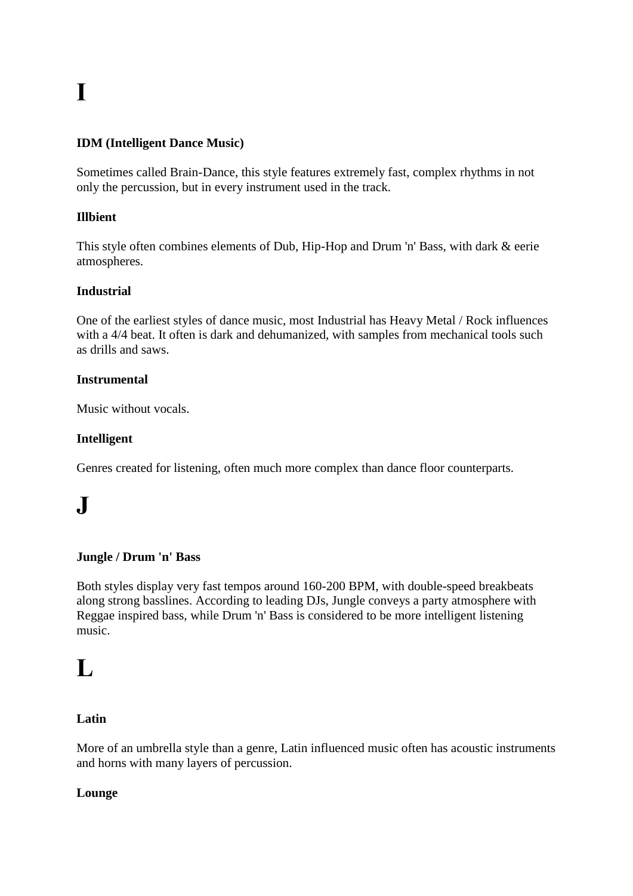# **I**

### **IDM (Intelligent Dance Music)**

Sometimes called Brain-Dance, this style features extremely fast, complex rhythms in not only the percussion, but in every instrument used in the track.

### **Illbient**

This style often combines elements of Dub, Hip-Hop and Drum 'n' Bass, with dark & eerie atmospheres.

### **Industrial**

One of the earliest styles of dance music, most Industrial has Heavy Metal / Rock influences with a 4/4 beat. It often is dark and dehumanized, with samples from mechanical tools such as drills and saws.

### **Instrumental**

Music without vocals.

### **Intelligent**

Genres created for listening, often much more complex than dance floor counterparts.

# **J**

#### **Jungle / Drum 'n' Bass**

Both styles display very fast tempos around 160-200 BPM, with double-speed breakbeats along strong basslines. According to leading DJs, Jungle conveys a party atmosphere with Reggae inspired bass, while Drum 'n' Bass is considered to be more intelligent listening music.

### **L**

### **Latin**

More of an umbrella style than a genre, Latin influenced music often has acoustic instruments and horns with many layers of percussion.

#### **Lounge**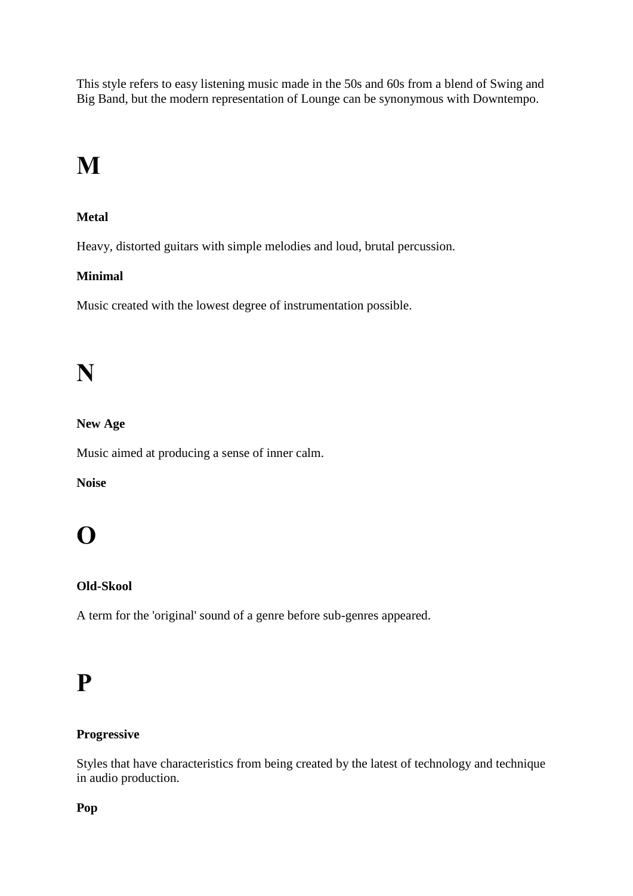This style refers to easy listening music made in the 50s and 60s from a blend of Swing and Big Band, but the modern representation of Lounge can be synonymous with Downtempo.

# **M**

### **Metal**

Heavy, distorted guitars with simple melodies and loud, brutal percussion.

### **Minimal**

Music created with the lowest degree of instrumentation possible.

## **N**

### **New Age**

Music aimed at producing a sense of inner calm.

### **Noise**

## **O**

### **Old-Skool**

A term for the 'original' sound of a genre before sub-genres appeared.

### **P**

### **Progressive**

Styles that have characteristics from being created by the latest of technology and technique in audio production.

### **Pop**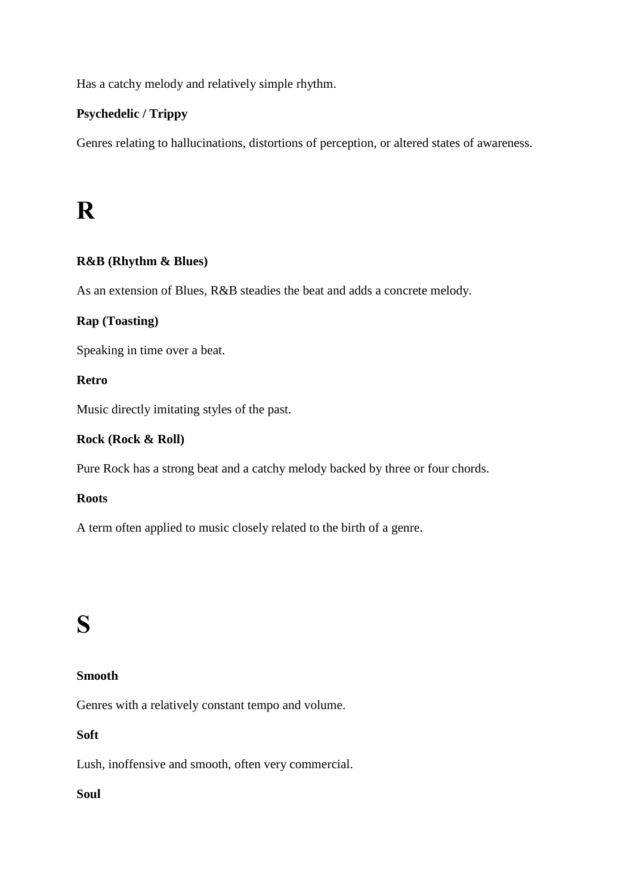Has a catchy melody and relatively simple rhythm.

### **Psychedelic / Trippy**

Genres relating to hallucinations, distortions of perception, or altered states of awareness.

### **R**

### **R&B (Rhythm & Blues)**

As an extension of Blues, R&B steadies the beat and adds a concrete melody.

### **Rap (Toasting)**

Speaking in time over a beat.

#### **Retro**

Music directly imitating styles of the past.

#### **Rock (Rock & Roll)**

Pure Rock has a strong beat and a catchy melody backed by three or four chords.

#### **Roots**

A term often applied to music closely related to the birth of a genre.

### **S**

### **Smooth**

Genres with a relatively constant tempo and volume.

### **Soft**

Lush, inoffensive and smooth, often very commercial.

### **Soul**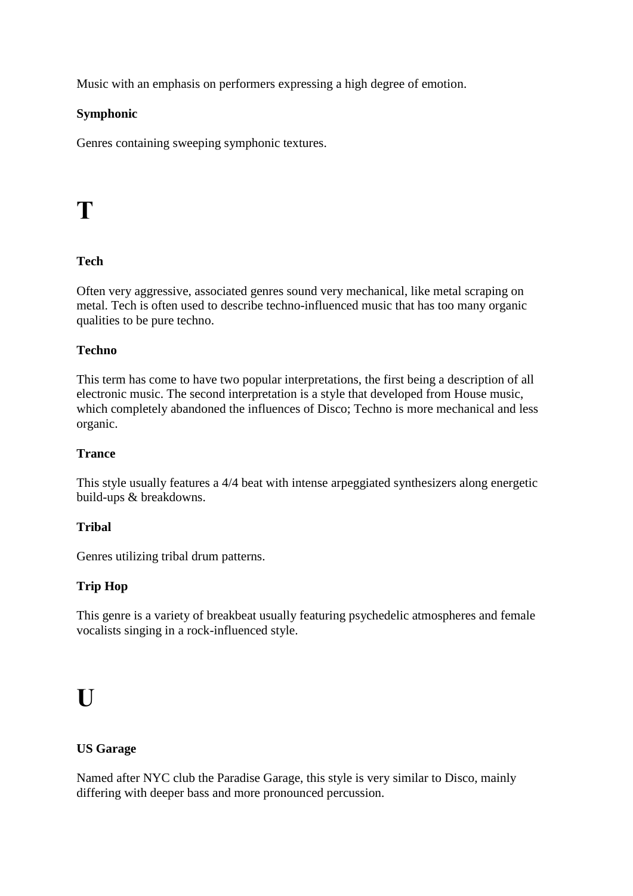Music with an emphasis on performers expressing a high degree of emotion.

### **Symphonic**

Genres containing sweeping symphonic textures.

### **T**

### **Tech**

Often very aggressive, associated genres sound very mechanical, like metal scraping on metal. Tech is often used to describe techno-influenced music that has too many organic qualities to be pure techno.

### **Techno**

This term has come to have two popular interpretations, the first being a description of all electronic music. The second interpretation is a style that developed from House music, which completely abandoned the influences of Disco; Techno is more mechanical and less organic.

### **Trance**

This style usually features a 4/4 beat with intense arpeggiated synthesizers along energetic build-ups & breakdowns.

### **Tribal**

Genres utilizing tribal drum patterns.

### **Trip Hop**

This genre is a variety of breakbeat usually featuring psychedelic atmospheres and female vocalists singing in a rock-influenced style.

## **U**

### **US Garage**

Named after NYC club the Paradise Garage, this style is very similar to Disco, mainly differing with deeper bass and more pronounced percussion.